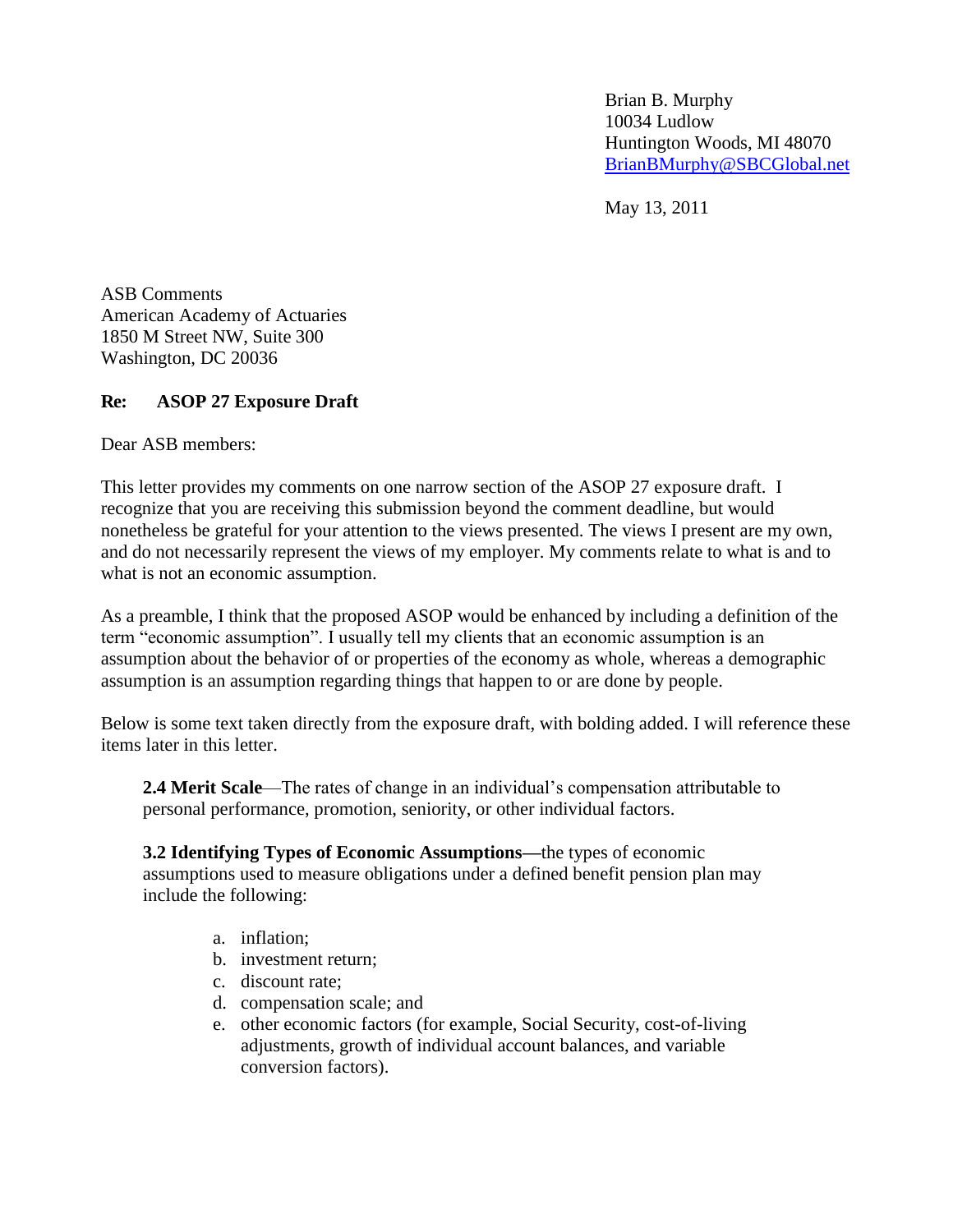Brian B. Murphy 10034 Ludlow Huntington Woods, MI 48070 [BrianBMurphy@SBCGlobal.net](mailto:BrianBMurphy@SBCGlobal.net)

May 13, 2011

ASB Comments American Academy of Actuaries 1850 M Street NW, Suite 300 Washington, DC 20036

## **Re: ASOP 27 Exposure Draft**

Dear ASB members:

This letter provides my comments on one narrow section of the ASOP 27 exposure draft. I recognize that you are receiving this submission beyond the comment deadline, but would nonetheless be grateful for your attention to the views presented. The views I present are my own, and do not necessarily represent the views of my employer. My comments relate to what is and to what is not an economic assumption.

As a preamble, I think that the proposed ASOP would be enhanced by including a definition of the term "economic assumption". I usually tell my clients that an economic assumption is an assumption about the behavior of or properties of the economy as whole, whereas a demographic assumption is an assumption regarding things that happen to or are done by people.

Below is some text taken directly from the exposure draft, with bolding added. I will reference these items later in this letter.

**2.4 Merit Scale**—The rates of change in an individual's compensation attributable to personal performance, promotion, seniority, or other individual factors.

**3.2 Identifying Types of Economic Assumptions—**the types of economic assumptions used to measure obligations under a defined benefit pension plan may include the following:

- a. inflation;
- b. investment return;
- c. discount rate;
- d. compensation scale; and
- e. other economic factors (for example, Social Security, cost-of-living adjustments, growth of individual account balances, and variable conversion factors).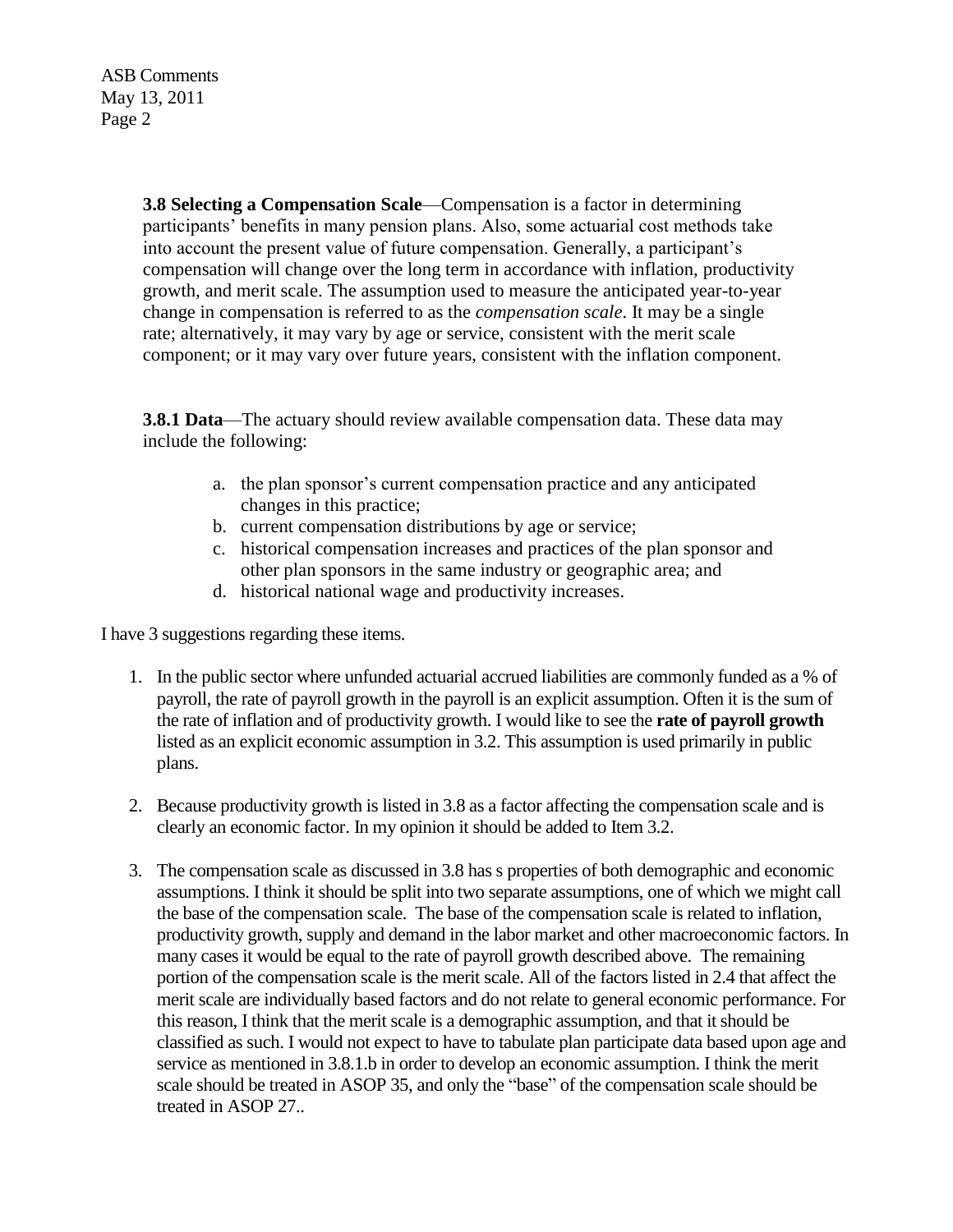ASB Comments May 13, 2011 Page 2

> **3.8 Selecting a Compensation Scale**—Compensation is a factor in determining participants' benefits in many pension plans. Also, some actuarial cost methods take into account the present value of future compensation. Generally, a participant's compensation will change over the long term in accordance with inflation, productivity growth, and merit scale. The assumption used to measure the anticipated year-to-year change in compensation is referred to as the *compensation scale*. It may be a single rate; alternatively, it may vary by age or service, consistent with the merit scale component; or it may vary over future years, consistent with the inflation component.

**3.8.1 Data**—The actuary should review available compensation data. These data may include the following:

- a. the plan sponsor's current compensation practice and any anticipated changes in this practice;
- b. current compensation distributions by age or service;
- c. historical compensation increases and practices of the plan sponsor and other plan sponsors in the same industry or geographic area; and
- d. historical national wage and productivity increases.

I have 3 suggestions regarding these items.

- 1. In the public sector where unfunded actuarial accrued liabilities are commonly funded as a % of payroll, the rate of payroll growth in the payroll is an explicit assumption. Often it is the sum of the rate of inflation and of productivity growth. I would like to see the **rate of payroll growth** listed as an explicit economic assumption in 3.2. This assumption is used primarily in public plans.
- 2. Because productivity growth is listed in 3.8 as a factor affecting the compensation scale and is clearly an economic factor. In my opinion it should be added to Item 3.2.
- 3. The compensation scale as discussed in 3.8 has s properties of both demographic and economic assumptions. I think it should be split into two separate assumptions, one of which we might call the base of the compensation scale. The base of the compensation scale is related to inflation, productivity growth, supply and demand in the labor market and other macroeconomic factors. In many cases it would be equal to the rate of payroll growth described above. The remaining portion of the compensation scale is the merit scale. All of the factors listed in 2.4 that affect the merit scale are individually based factors and do not relate to general economic performance. For this reason, I think that the merit scale is a demographic assumption, and that it should be classified as such. I would not expect to have to tabulate plan participate data based upon age and service as mentioned in 3.8.1.b in order to develop an economic assumption. I think the merit scale should be treated in ASOP 35, and only the "base" of the compensation scale should be treated in ASOP 27..